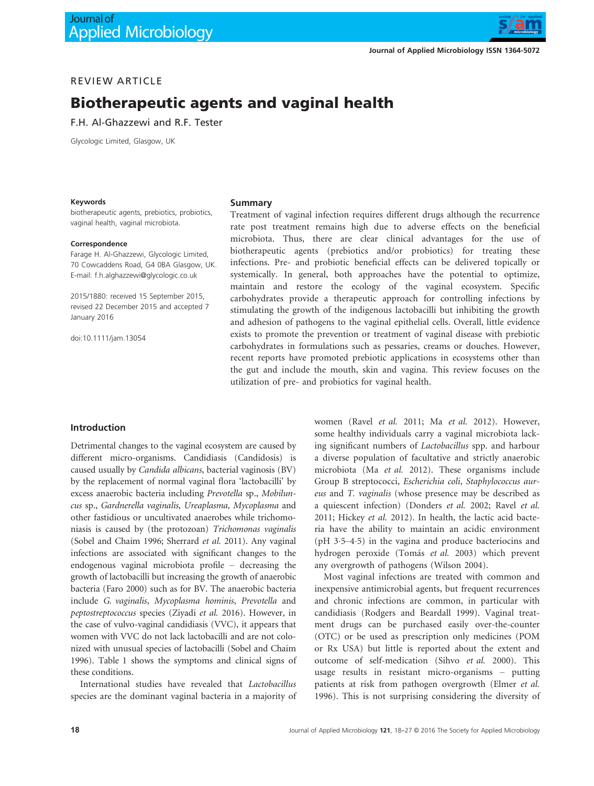

# REVIEW ARTICLE

# Biotherapeutic agents and vaginal health

F.H. Al-Ghazzewi and R.F. Tester

Glycologic Limited, Glasgow, UK

#### Keywords

#### Summary

biotherapeutic agents, prebiotics, probiotics, vaginal health, vaginal microbiota.

#### Correspondence

Farage H. Al-Ghazzewi, Glycologic Limited, 70 Cowcaddens Road, G4 0BA Glasgow, UK. E-mail: f.h.alghazzewi@glycologic.co.uk

2015/1880: received 15 September 2015, revised 22 December 2015 and accepted 7 January 2016

doi:10.1111/jam.13054

Treatment of vaginal infection requires different drugs although the recurrence rate post treatment remains high due to adverse effects on the beneficial microbiota. Thus, there are clear clinical advantages for the use of biotherapeutic agents (prebiotics and/or probiotics) for treating these infections. Pre- and probiotic beneficial effects can be delivered topically or systemically. In general, both approaches have the potential to optimize, maintain and restore the ecology of the vaginal ecosystem. Specific carbohydrates provide a therapeutic approach for controlling infections by stimulating the growth of the indigenous lactobacilli but inhibiting the growth and adhesion of pathogens to the vaginal epithelial cells. Overall, little evidence exists to promote the prevention or treatment of vaginal disease with prebiotic carbohydrates in formulations such as pessaries, creams or douches. However, recent reports have promoted prebiotic applications in ecosystems other than the gut and include the mouth, skin and vagina. This review focuses on the utilization of pre- and probiotics for vaginal health.

### Introduction

Detrimental changes to the vaginal ecosystem are caused by different micro-organisms. Candidiasis (Candidosis) is caused usually by Candida albicans, bacterial vaginosis (BV) by the replacement of normal vaginal flora 'lactobacilli' by excess anaerobic bacteria including Prevotella sp., Mobiluncus sp., Gardnerella vaginalis, Ureaplasma, Mycoplasma and other fastidious or uncultivated anaerobes while trichomoniasis is caused by (the protozoan) Trichomonas vaginalis (Sobel and Chaim 1996; Sherrard et al. 2011). Any vaginal infections are associated with significant changes to the endogenous vaginal microbiota profile – decreasing the growth of lactobacilli but increasing the growth of anaerobic bacteria (Faro 2000) such as for BV. The anaerobic bacteria include G. vaginalis, Mycoplasma hominis, Prevotella and peptostreptococcus species (Ziyadi et al. 2016). However, in the case of vulvo-vaginal candidiasis (VVC), it appears that women with VVC do not lack lactobacilli and are not colonized with unusual species of lactobacilli (Sobel and Chaim 1996). Table 1 shows the symptoms and clinical signs of these conditions.

International studies have revealed that Lactobacillus species are the dominant vaginal bacteria in a majority of women (Ravel et al. 2011; Ma et al. 2012). However, some healthy individuals carry a vaginal microbiota lacking significant numbers of Lactobacillus spp. and harbour a diverse population of facultative and strictly anaerobic microbiota (Ma et al. 2012). These organisms include Group B streptococci, Escherichia coli, Staphylococcus aureus and T. vaginalis (whose presence may be described as a quiescent infection) (Donders et al. 2002; Ravel et al. 2011; Hickey et al. 2012). In health, the lactic acid bacteria have the ability to maintain an acidic environment (pH 35–45) in the vagina and produce bacteriocins and hydrogen peroxide (Tomás et al. 2003) which prevent any overgrowth of pathogens (Wilson 2004).

Most vaginal infections are treated with common and inexpensive antimicrobial agents, but frequent recurrences and chronic infections are common, in particular with candidiasis (Rodgers and Beardall 1999). Vaginal treatment drugs can be purchased easily over-the-counter (OTC) or be used as prescription only medicines (POM or Rx USA) but little is reported about the extent and outcome of self-medication (Sihvo et al. 2000). This usage results in resistant micro-organisms – putting patients at risk from pathogen overgrowth (Elmer et al. 1996). This is not surprising considering the diversity of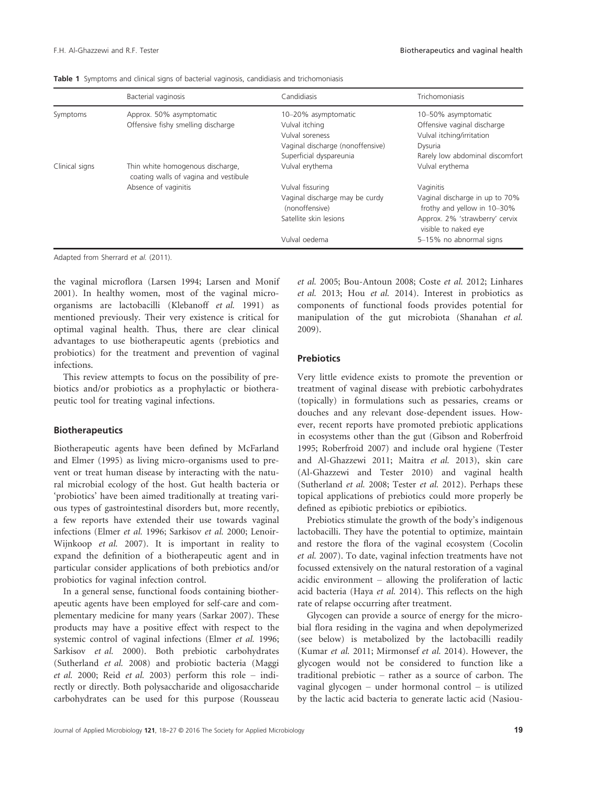|                | <b>Bacterial vaginosis</b>                                                | Candidiasis                                      | Trichomoniasis                                                |
|----------------|---------------------------------------------------------------------------|--------------------------------------------------|---------------------------------------------------------------|
| Symptoms       | Approx. 50% asymptomatic                                                  | 10-20% asymptomatic                              | 10-50% asymptomatic                                           |
|                | Offensive fishy smelling discharge                                        | Vulval itching                                   | Offensive vaginal discharge                                   |
|                |                                                                           | Vulval soreness                                  | Vulval itching/irritation                                     |
|                |                                                                           | Vaginal discharge (nonoffensive)                 | Dysuria                                                       |
|                |                                                                           | Superficial dyspareunia                          | Rarely low abdominal discomfort                               |
| Clinical signs | Thin white homogenous discharge,<br>coating walls of vagina and vestibule | Vulval erythema                                  | Vulval erythema                                               |
|                | Absence of vaginitis                                                      | Vulval fissuring                                 | Vaginitis                                                     |
|                |                                                                           | Vaginal discharge may be curdy<br>(nonoffensive) | Vaginal discharge in up to 70%<br>frothy and yellow in 10-30% |
|                |                                                                           | Satellite skin lesions                           | Approx. 2% 'strawberry' cervix<br>visible to naked eye        |
|                |                                                                           | Vulval oedema                                    | 5-15% no abnormal signs                                       |

Table 1 Symptoms and clinical signs of bacterial vaginosis, candidiasis and trichomoniasis

Adapted from Sherrard et al. (2011).

the vaginal microflora (Larsen 1994; Larsen and Monif 2001). In healthy women, most of the vaginal microorganisms are lactobacilli (Klebanoff et al. 1991) as mentioned previously. Their very existence is critical for optimal vaginal health. Thus, there are clear clinical advantages to use biotherapeutic agents (prebiotics and probiotics) for the treatment and prevention of vaginal infections.

This review attempts to focus on the possibility of prebiotics and/or probiotics as a prophylactic or biotherapeutic tool for treating vaginal infections.

#### **Biotherapeutics**

Biotherapeutic agents have been defined by McFarland and Elmer (1995) as living micro-organisms used to prevent or treat human disease by interacting with the natural microbial ecology of the host. Gut health bacteria or 'probiotics' have been aimed traditionally at treating various types of gastrointestinal disorders but, more recently, a few reports have extended their use towards vaginal infections (Elmer et al. 1996; Sarkisov et al. 2000; Lenoir-Wijnkoop et al. 2007). It is important in reality to expand the definition of a biotherapeutic agent and in particular consider applications of both prebiotics and/or probiotics for vaginal infection control.

In a general sense, functional foods containing biotherapeutic agents have been employed for self-care and complementary medicine for many years (Sarkar 2007). These products may have a positive effect with respect to the systemic control of vaginal infections (Elmer et al. 1996; Sarkisov et al. 2000). Both prebiotic carbohydrates (Sutherland et al. 2008) and probiotic bacteria (Maggi et al. 2000; Reid et al. 2003) perform this role – indirectly or directly. Both polysaccharide and oligosaccharide carbohydrates can be used for this purpose (Rousseau

et al. 2005; Bou-Antoun 2008; Coste et al. 2012; Linhares et al. 2013; Hou et al. 2014). Interest in probiotics as components of functional foods provides potential for manipulation of the gut microbiota (Shanahan et al. 2009).

# **Prebiotics**

Very little evidence exists to promote the prevention or treatment of vaginal disease with prebiotic carbohydrates (topically) in formulations such as pessaries, creams or douches and any relevant dose-dependent issues. However, recent reports have promoted prebiotic applications in ecosystems other than the gut (Gibson and Roberfroid 1995; Roberfroid 2007) and include oral hygiene (Tester and Al-Ghazzewi 2011; Maitra et al. 2013), skin care (Al-Ghazzewi and Tester 2010) and vaginal health (Sutherland et al. 2008; Tester et al. 2012). Perhaps these topical applications of prebiotics could more properly be defined as epibiotic prebiotics or epibiotics.

Prebiotics stimulate the growth of the body's indigenous lactobacilli. They have the potential to optimize, maintain and restore the flora of the vaginal ecosystem (Cocolin et al. 2007). To date, vaginal infection treatments have not focussed extensively on the natural restoration of a vaginal acidic environment – allowing the proliferation of lactic acid bacteria (Haya et al. 2014). This reflects on the high rate of relapse occurring after treatment.

Glycogen can provide a source of energy for the microbial flora residing in the vagina and when depolymerized (see below) is metabolized by the lactobacilli readily (Kumar et al. 2011; Mirmonsef et al. 2014). However, the glycogen would not be considered to function like a traditional prebiotic – rather as a source of carbon. The vaginal glycogen – under hormonal control – is utilized by the lactic acid bacteria to generate lactic acid (Nasiou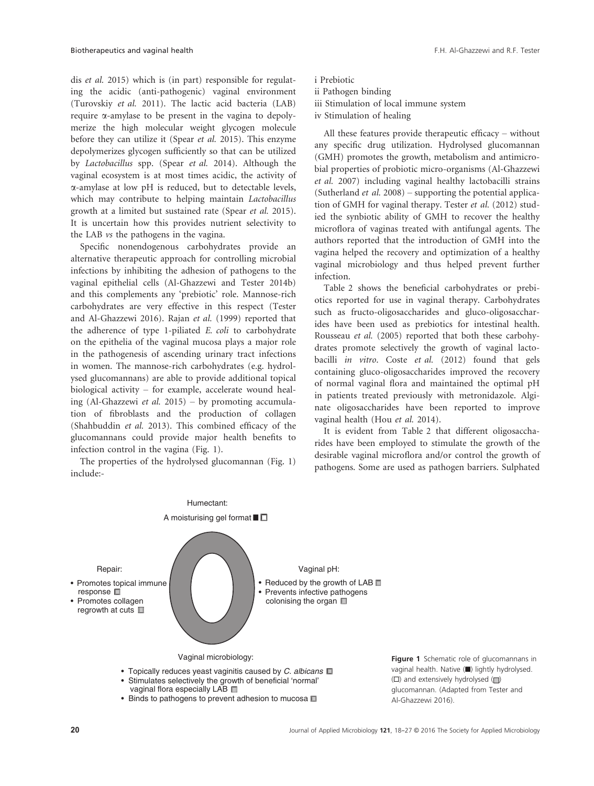dis et al. 2015) which is (in part) responsible for regulating the acidic (anti-pathogenic) vaginal environment (Turovskiy et al. 2011). The lactic acid bacteria (LAB) require  $\alpha$ -amylase to be present in the vagina to depolymerize the high molecular weight glycogen molecule before they can utilize it (Spear et al. 2015). This enzyme depolymerizes glycogen sufficiently so that can be utilized by Lactobacillus spp. (Spear et al. 2014). Although the vaginal ecosystem is at most times acidic, the activity of a-amylase at low pH is reduced, but to detectable levels, which may contribute to helping maintain Lactobacillus growth at a limited but sustained rate (Spear et al. 2015). It is uncertain how this provides nutrient selectivity to the LAB vs the pathogens in the vagina.

Specific nonendogenous carbohydrates provide an alternative therapeutic approach for controlling microbial infections by inhibiting the adhesion of pathogens to the vaginal epithelial cells (Al-Ghazzewi and Tester 2014b) and this complements any 'prebiotic' role. Mannose-rich carbohydrates are very effective in this respect (Tester and Al-Ghazzewi 2016). Rajan et al. (1999) reported that the adherence of type 1-piliated E. coli to carbohydrate on the epithelia of the vaginal mucosa plays a major role in the pathogenesis of ascending urinary tract infections in women. The mannose-rich carbohydrates (e.g. hydrolysed glucomannans) are able to provide additional topical biological activity – for example, accelerate wound healing (Al-Ghazzewi *et al.* 2015) – by promoting accumulation of fibroblasts and the production of collagen (Shahbuddin et al. 2013). This combined efficacy of the glucomannans could provide major health benefits to infection control in the vagina (Fig. 1).

The properties of the hydrolysed glucomannan (Fig. 1) include:-

i Prebiotic ii Pathogen binding iii Stimulation of local immune system iv Stimulation of healing

All these features provide therapeutic efficacy – without any specific drug utilization. Hydrolysed glucomannan (GMH) promotes the growth, metabolism and antimicrobial properties of probiotic micro-organisms (Al-Ghazzewi et al. 2007) including vaginal healthy lactobacilli strains (Sutherland *et al.* 2008) – supporting the potential application of GMH for vaginal therapy. Tester et al. (2012) studied the synbiotic ability of GMH to recover the healthy microflora of vaginas treated with antifungal agents. The authors reported that the introduction of GMH into the vagina helped the recovery and optimization of a healthy vaginal microbiology and thus helped prevent further infection.

Table 2 shows the beneficial carbohydrates or prebiotics reported for use in vaginal therapy. Carbohydrates such as fructo-oligosaccharides and gluco-oligosaccharides have been used as prebiotics for intestinal health. Rousseau et al. (2005) reported that both these carbohydrates promote selectively the growth of vaginal lactobacilli in vitro. Coste et al. (2012) found that gels containing gluco-oligosaccharides improved the recovery of normal vaginal flora and maintained the optimal pH in patients treated previously with metronidazole. Alginate oligosaccharides have been reported to improve vaginal health (Hou et al. 2014).

It is evident from Table 2 that different oligosaccharides have been employed to stimulate the growth of the desirable vaginal microflora and/or control the growth of pathogens. Some are used as pathogen barriers. Sulphated



• Binds to pathogens to prevent adhesion to mucosa  $\square$ 

Figure 1 Schematic role of glucomannans in vaginal health. Native (■) lightly hydrolysed.  $(\Box)$  and extensively hydrolysed  $(\Box)$ glucomannan. (Adapted from Tester and Al-Ghazzewi 2016).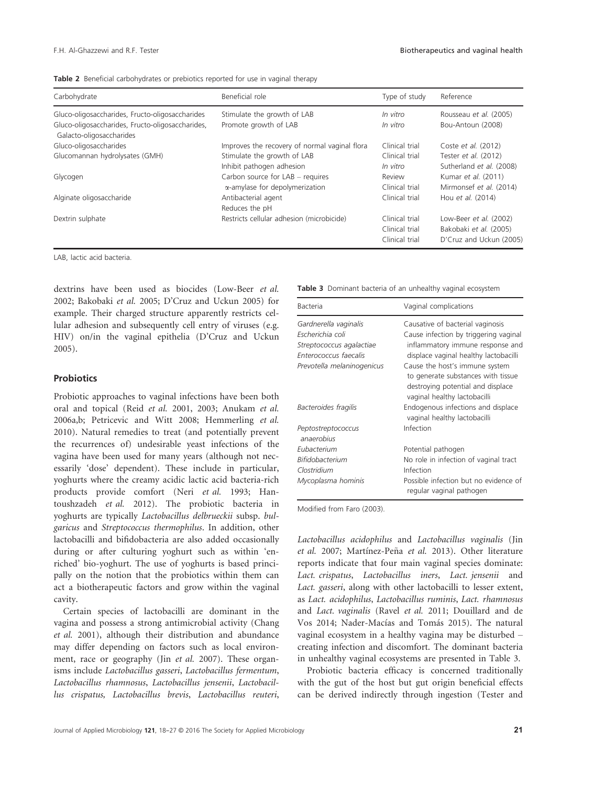|  |  | Table 2 Beneficial carbohydrates or prebiotics reported for use in vaginal therapy |  |  |  |  |  |  |  |
|--|--|------------------------------------------------------------------------------------|--|--|--|--|--|--|--|
|--|--|------------------------------------------------------------------------------------|--|--|--|--|--|--|--|

| Carbohydrate                                                                 | Beneficial role                               | Type of study  | Reference                |
|------------------------------------------------------------------------------|-----------------------------------------------|----------------|--------------------------|
| Gluco-oligosaccharides, Fructo-oligosaccharides                              | Stimulate the growth of LAB                   | In vitro       | Rousseau et al. (2005)   |
| Gluco-oligosaccharides, Fructo-oligosaccharides,<br>Galacto-oligosaccharides | Promote growth of LAB                         | In vitro       | Bou-Antoun (2008)        |
| Gluco-oligosaccharides                                                       | Improves the recovery of normal vaginal flora | Clinical trial | Coste et al. (2012)      |
| Glucomannan hydrolysates (GMH)                                               | Stimulate the growth of LAB                   | Clinical trial | Tester et al. (2012)     |
|                                                                              | Inhibit pathogen adhesion                     | In vitro       | Sutherland et al. (2008) |
| Glycogen                                                                     | Carbon source for $LAB$ – requires            | Review         | Kumar et al. (2011)      |
|                                                                              | $\alpha$ -amylase for depolymerization        | Clinical trial | Mirmonsef et al. (2014)  |
| Alginate oligosaccharide                                                     | Antibacterial agent                           | Clinical trial | Hou et al. (2014)        |
|                                                                              | Reduces the pH                                |                |                          |
| Dextrin sulphate                                                             | Restricts cellular adhesion (microbicide)     | Clinical trial | Low-Beer et al. (2002)   |
|                                                                              |                                               | Clinical trial | Bakobaki et al. (2005)   |
|                                                                              |                                               | Clinical trial | D'Cruz and Uckun (2005)  |

LAB, lactic acid bacteria.

dextrins have been used as biocides (Low-Beer et al. 2002; Bakobaki et al. 2005; D'Cruz and Uckun 2005) for example. Their charged structure apparently restricts cellular adhesion and subsequently cell entry of viruses (e.g. HIV) on/in the vaginal epithelia (D'Cruz and Uckun 2005).

#### **Probiotics**

Probiotic approaches to vaginal infections have been both oral and topical (Reid et al. 2001, 2003; Anukam et al. 2006a,b; Petricevic and Witt 2008; Hemmerling et al. 2010). Natural remedies to treat (and potentially prevent the recurrences of) undesirable yeast infections of the vagina have been used for many years (although not necessarily 'dose' dependent). These include in particular, yoghurts where the creamy acidic lactic acid bacteria-rich products provide comfort (Neri et al. 1993; Hantoushzadeh et al. 2012). The probiotic bacteria in yoghurts are typically Lactobacillus delbrueckii subsp. bulgaricus and Streptococcus thermophilus. In addition, other lactobacilli and bifidobacteria are also added occasionally during or after culturing yoghurt such as within 'enriched' bio-yoghurt. The use of yoghurts is based principally on the notion that the probiotics within them can act a biotherapeutic factors and grow within the vaginal cavity.

Certain species of lactobacilli are dominant in the vagina and possess a strong antimicrobial activity (Chang et al. 2001), although their distribution and abundance may differ depending on factors such as local environment, race or geography (Jin et al. 2007). These organisms include Lactobacillus gasseri, Lactobacillus fermentum, Lactobacillus rhamnosus, Lactobacillus jensenii, Lactobacillus crispatus, Lactobacillus brevis, Lactobacillus reuteri,

Table 3 Dominant bacteria of an unhealthy vaginal ecosystem

| Bacteria                         | Vaginal complications                                              |
|----------------------------------|--------------------------------------------------------------------|
| Gardnerella vaginalis            | Causative of bacterial vaginosis                                   |
| Escherichia coli                 | Cause infection by triggering vaginal                              |
| Streptococcus agalactiae         | inflammatory immune response and                                   |
| Enterococcus faecalis            | displace vaginal healthy lactobacilli                              |
| Prevotella melaninogenicus       | Cause the host's immune system                                     |
|                                  | to generate substances with tissue                                 |
|                                  | destroying potential and displace                                  |
|                                  | vaginal healthy lactobacilli                                       |
| Bacteroides fragilis             | Endogenous infections and displace<br>vaginal healthy lactobacilli |
|                                  | Infection                                                          |
| Peptostreptococcus<br>anaerobius |                                                                    |
| Eubacterium                      | Potential pathogen                                                 |
| Bifidobacterium                  | No role in infection of vaginal tract                              |
| Clostridium                      | Infection                                                          |
| Mycoplasma hominis               | Possible infection but no evidence of<br>regular vaginal pathogen  |

Modified from Faro (2003).

Lactobacillus acidophilus and Lactobacillus vaginalis (Jin et al. 2007; Martínez-Peña et al. 2013). Other literature reports indicate that four main vaginal species dominate: Lact. crispatus, Lactobacillus iners, Lact. jensenii and Lact. gasseri, along with other lactobacilli to lesser extent, as Lact. acidophilus, Lactobacillus ruminis, Lact. rhamnosus and Lact. vaginalis (Ravel et al. 2011; Douillard and de Vos 2014; Nader-Macías and Tomás 2015). The natural vaginal ecosystem in a healthy vagina may be disturbed – creating infection and discomfort. The dominant bacteria in unhealthy vaginal ecosystems are presented in Table 3.

Probiotic bacteria efficacy is concerned traditionally with the gut of the host but gut origin beneficial effects can be derived indirectly through ingestion (Tester and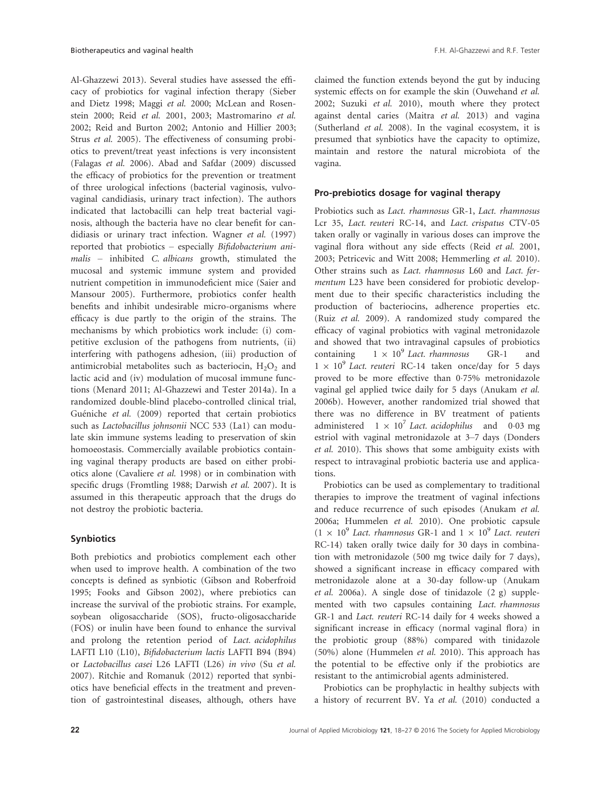Al-Ghazzewi 2013). Several studies have assessed the efficacy of probiotics for vaginal infection therapy (Sieber and Dietz 1998; Maggi et al. 2000; McLean and Rosenstein 2000; Reid et al. 2001, 2003; Mastromarino et al. 2002; Reid and Burton 2002; Antonio and Hillier 2003; Strus et al. 2005). The effectiveness of consuming probiotics to prevent/treat yeast infections is very inconsistent (Falagas et al. 2006). Abad and Safdar (2009) discussed the efficacy of probiotics for the prevention or treatment of three urological infections (bacterial vaginosis, vulvovaginal candidiasis, urinary tract infection). The authors indicated that lactobacilli can help treat bacterial vaginosis, although the bacteria have no clear benefit for candidiasis or urinary tract infection. Wagner et al. (1997) reported that probiotics – especially Bifidobacterium animalis - inhibited C. albicans growth, stimulated the mucosal and systemic immune system and provided nutrient competition in immunodeficient mice (Saier and Mansour 2005). Furthermore, probiotics confer health benefits and inhibit undesirable micro-organisms where efficacy is due partly to the origin of the strains. The mechanisms by which probiotics work include: (i) competitive exclusion of the pathogens from nutrients, (ii) interfering with pathogens adhesion, (iii) production of antimicrobial metabolites such as bacteriocin,  $H_2O_2$  and lactic acid and (iv) modulation of mucosal immune functions (Menard 2011; Al-Ghazzewi and Tester 2014a). In a randomized double-blind placebo-controlled clinical trial, Guéniche et al. (2009) reported that certain probiotics such as Lactobacillus johnsonii NCC 533 (La1) can modulate skin immune systems leading to preservation of skin homoeostasis. Commercially available probiotics containing vaginal therapy products are based on either probiotics alone (Cavaliere et al. 1998) or in combination with specific drugs (Fromtling 1988; Darwish et al. 2007). It is assumed in this therapeutic approach that the drugs do not destroy the probiotic bacteria.

# **Synbiotics**

Both prebiotics and probiotics complement each other when used to improve health. A combination of the two concepts is defined as synbiotic (Gibson and Roberfroid 1995; Fooks and Gibson 2002), where prebiotics can increase the survival of the probiotic strains. For example, soybean oligosaccharide (SOS), fructo-oligosaccharide (FOS) or inulin have been found to enhance the survival and prolong the retention period of Lact. acidophilus LAFTI L10 (L10), Bifidobacterium lactis LAFTI B94 (B94) or Lactobacillus casei L26 LAFTI (L26) in vivo (Su et al. 2007). Ritchie and Romanuk (2012) reported that synbiotics have beneficial effects in the treatment and prevention of gastrointestinal diseases, although, others have claimed the function extends beyond the gut by inducing systemic effects on for example the skin (Ouwehand et al. 2002; Suzuki et al. 2010), mouth where they protect against dental caries (Maitra et al. 2013) and vagina (Sutherland et al. 2008). In the vaginal ecosystem, it is presumed that synbiotics have the capacity to optimize, maintain and restore the natural microbiota of the vagina.

### Pro-prebiotics dosage for vaginal therapy

Probiotics such as Lact. rhamnosus GR-1, Lact. rhamnosus Lcr 35, Lact. reuteri RC-14, and Lact. crispatus CTV-05 taken orally or vaginally in various doses can improve the vaginal flora without any side effects (Reid et al. 2001, 2003; Petricevic and Witt 2008; Hemmerling et al. 2010). Other strains such as Lact. rhamnosus L60 and Lact. fermentum L23 have been considered for probiotic development due to their specific characteristics including the production of bacteriocins, adherence properties etc. (Ruiz et al. 2009). A randomized study compared the efficacy of vaginal probiotics with vaginal metronidazole and showed that two intravaginal capsules of probiotics containing  $1 \times 10^9$  Lact. rhamnosus GR-1 and  $1 \times 10^9$  Lact. reuteri RC-14 taken once/day for 5 days proved to be more effective than 0.75% metronidazole vaginal gel applied twice daily for 5 days (Anukam et al. 2006b). However, another randomized trial showed that there was no difference in BV treatment of patients administered  $1 \times 10^7$  Lact. acidophilus and 0.03 mg estriol with vaginal metronidazole at 3–7 days (Donders et al. 2010). This shows that some ambiguity exists with respect to intravaginal probiotic bacteria use and applications.

Probiotics can be used as complementary to traditional therapies to improve the treatment of vaginal infections and reduce recurrence of such episodes (Anukam et al. 2006a; Hummelen et al. 2010). One probiotic capsule  $(1 \times 10^9$  Lact. rhamnosus GR-1 and  $1 \times 10^9$  Lact. reuteri RC-14) taken orally twice daily for 30 days in combination with metronidazole (500 mg twice daily for 7 days), showed a significant increase in efficacy compared with metronidazole alone at a 30-day follow-up (Anukam et al. 2006a). A single dose of tinidazole (2 g) supplemented with two capsules containing Lact. rhamnosus GR-1 and Lact. reuteri RC-14 daily for 4 weeks showed a significant increase in efficacy (normal vaginal flora) in the probiotic group (88%) compared with tinidazole (50%) alone (Hummelen et al. 2010). This approach has the potential to be effective only if the probiotics are resistant to the antimicrobial agents administered.

Probiotics can be prophylactic in healthy subjects with a history of recurrent BV. Ya et al. (2010) conducted a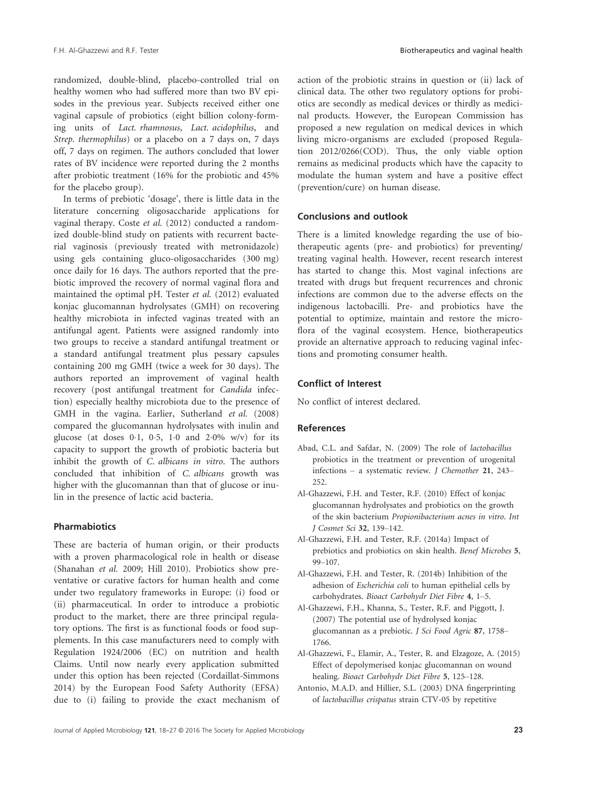randomized, double-blind, placebo-controlled trial on healthy women who had suffered more than two BV episodes in the previous year. Subjects received either one vaginal capsule of probiotics (eight billion colony-forming units of Lact. rhamnosus, Lact. acidophilus, and Strep. thermophilus) or a placebo on a 7 days on, 7 days off, 7 days on regimen. The authors concluded that lower rates of BV incidence were reported during the 2 months after probiotic treatment (16% for the probiotic and 45% for the placebo group).

In terms of prebiotic 'dosage', there is little data in the literature concerning oligosaccharide applications for vaginal therapy. Coste et al. (2012) conducted a randomized double-blind study on patients with recurrent bacterial vaginosis (previously treated with metronidazole) using gels containing gluco-oligosaccharides (300 mg) once daily for 16 days. The authors reported that the prebiotic improved the recovery of normal vaginal flora and maintained the optimal pH. Tester et al. (2012) evaluated konjac glucomannan hydrolysates (GMH) on recovering healthy microbiota in infected vaginas treated with an antifungal agent. Patients were assigned randomly into two groups to receive a standard antifungal treatment or a standard antifungal treatment plus pessary capsules containing 200 mg GMH (twice a week for 30 days). The authors reported an improvement of vaginal health recovery (post antifungal treatment for Candida infection) especially healthy microbiota due to the presence of GMH in the vagina. Earlier, Sutherland et al. (2008) compared the glucomannan hydrolysates with inulin and glucose (at doses  $0.1$ ,  $0.5$ ,  $1.0$  and  $2.0\%$  w/v) for its capacity to support the growth of probiotic bacteria but inhibit the growth of C. albicans in vitro. The authors concluded that inhibition of C. albicans growth was higher with the glucomannan than that of glucose or inulin in the presence of lactic acid bacteria.

# Pharmabiotics

These are bacteria of human origin, or their products with a proven pharmacological role in health or disease (Shanahan et al. 2009; Hill 2010). Probiotics show preventative or curative factors for human health and come under two regulatory frameworks in Europe: (i) food or (ii) pharmaceutical. In order to introduce a probiotic product to the market, there are three principal regulatory options. The first is as functional foods or food supplements. In this case manufacturers need to comply with Regulation 1924/2006 (EC) on nutrition and health Claims. Until now nearly every application submitted under this option has been rejected (Cordaillat-Simmons 2014) by the European Food Safety Authority (EFSA) due to (i) failing to provide the exact mechanism of action of the probiotic strains in question or (ii) lack of clinical data. The other two regulatory options for probiotics are secondly as medical devices or thirdly as medicinal products. However, the European Commission has proposed a new regulation on medical devices in which living micro-organisms are excluded (proposed Regulation 2012/0266(COD). Thus, the only viable option remains as medicinal products which have the capacity to modulate the human system and have a positive effect (prevention/cure) on human disease.

# Conclusions and outlook

There is a limited knowledge regarding the use of biotherapeutic agents (pre- and probiotics) for preventing/ treating vaginal health. However, recent research interest has started to change this. Most vaginal infections are treated with drugs but frequent recurrences and chronic infections are common due to the adverse effects on the indigenous lactobacilli. Pre- and probiotics have the potential to optimize, maintain and restore the microflora of the vaginal ecosystem. Hence, biotherapeutics provide an alternative approach to reducing vaginal infections and promoting consumer health.

#### Conflict of Interest

No conflict of interest declared.

# References

- Abad, C.L. and Safdar, N. (2009) The role of lactobacillus probiotics in the treatment or prevention of urogenital infections – a systematic review. J Chemother 21, 243– 252.
- Al-Ghazzewi, F.H. and Tester, R.F. (2010) Effect of konjac glucomannan hydrolysates and probiotics on the growth of the skin bacterium Propionibacterium acnes in vitro. Int J Cosmet Sci 32, 139–142.
- Al-Ghazzewi, F.H. and Tester, R.F. (2014a) Impact of prebiotics and probiotics on skin health. Benef Microbes 5, 99–107.
- Al-Ghazzewi, F.H. and Tester, R. (2014b) Inhibition of the adhesion of Escherichia coli to human epithelial cells by carbohydrates. Bioact Carbohydr Diet Fibre 4, 1–5.
- Al-Ghazzewi, F.H., Khanna, S., Tester, R.F. and Piggott, J. (2007) The potential use of hydrolysed konjac glucomannan as a prebiotic. J Sci Food Agric 87, 1758– 1766.
- Al-Ghazzewi, F., Elamir, A., Tester, R. and Elzagoze, A. (2015) Effect of depolymerised konjac glucomannan on wound healing. Bioact Carbohydr Diet Fibre 5, 125–128.
- Antonio, M.A.D. and Hillier, S.L. (2003) DNA fingerprinting of lactobacillus crispatus strain CTV-05 by repetitive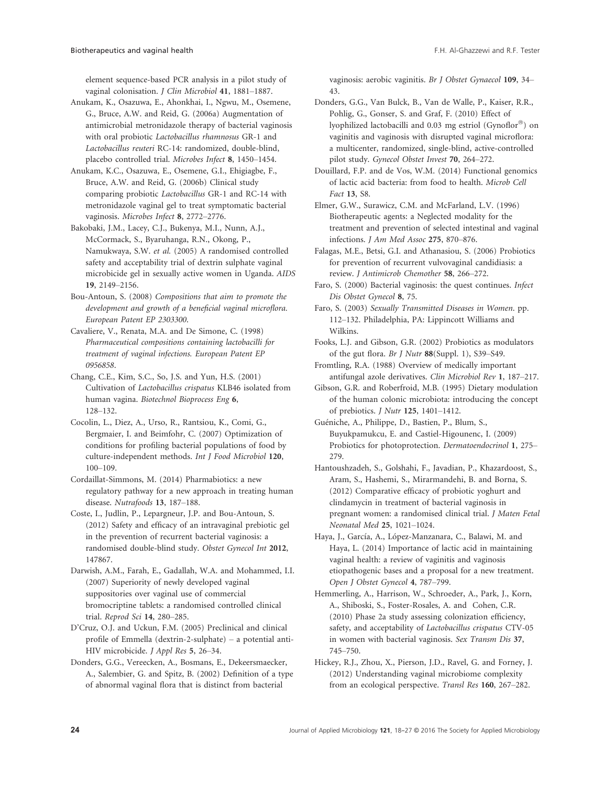element sequence-based PCR analysis in a pilot study of vaginal colonisation. J Clin Microbiol 41, 1881–1887.

Anukam, K., Osazuwa, E., Ahonkhai, I., Ngwu, M., Osemene, G., Bruce, A.W. and Reid, G. (2006a) Augmentation of antimicrobial metronidazole therapy of bacterial vaginosis with oral probiotic Lactobacillus rhamnosus GR-1 and Lactobacillus reuteri RC-14: randomized, double-blind, placebo controlled trial. Microbes Infect 8, 1450–1454.

Anukam, K.C., Osazuwa, E., Osemene, G.I., Ehigiagbe, F., Bruce, A.W. and Reid, G. (2006b) Clinical study comparing probiotic Lactobacillus GR-1 and RC-14 with metronidazole vaginal gel to treat symptomatic bacterial vaginosis. Microbes Infect 8, 2772–2776.

Bakobaki, J.M., Lacey, C.J., Bukenya, M.I., Nunn, A.J., McCormack, S., Byaruhanga, R.N., Okong, P., Namukwaya, S.W. et al. (2005) A randomised controlled safety and acceptability trial of dextrin sulphate vaginal microbicide gel in sexually active women in Uganda. AIDS 19, 2149–2156.

Bou-Antoun, S. (2008) Compositions that aim to promote the development and growth of a beneficial vaginal microflora. European Patent EP 2303300.

Cavaliere, V., Renata, M.A. and De Simone, C. (1998) Pharmaceutical compositions containing lactobacilli for treatment of vaginal infections. European Patent EP 0956858.

Chang, C.E., Kim, S.C., So, J.S. and Yun, H.S. (2001) Cultivation of Lactobacillus crispatus KLB46 isolated from human vagina. Biotechnol Bioprocess Eng 6, 128–132.

Cocolin, L., Diez, A., Urso, R., Rantsiou, K., Comi, G., Bergmaier, I. and Beimfohr, C. (2007) Optimization of conditions for profiling bacterial populations of food by culture-independent methods. Int J Food Microbiol 120, 100–109.

Cordaillat-Simmons, M. (2014) Pharmabiotics: a new regulatory pathway for a new approach in treating human disease. Nutrafoods 13, 187–188.

Coste, I., Judlin, P., Lepargneur, J.P. and Bou-Antoun, S. (2012) Safety and efficacy of an intravaginal prebiotic gel in the prevention of recurrent bacterial vaginosis: a randomised double-blind study. Obstet Gynecol Int 2012, 147867.

Darwish, A.M., Farah, E., Gadallah, W.A. and Mohammed, I.I. (2007) Superiority of newly developed vaginal suppositories over vaginal use of commercial bromocriptine tablets: a randomised controlled clinical trial. Reprod Sci 14, 280–285.

D'Cruz, O.J. and Uckun, F.M. (2005) Preclinical and clinical profile of Emmella (dextrin-2-sulphate) – a potential anti-HIV microbicide. J Appl Res 5, 26–34.

Donders, G.G., Vereecken, A., Bosmans, E., Dekeersmaecker, A., Salembier, G. and Spitz, B. (2002) Definition of a type of abnormal vaginal flora that is distinct from bacterial

vaginosis: aerobic vaginitis. Br J Obstet Gynaecol 109, 34– 43.

Donders, G.G., Van Bulck, B., Van de Walle, P., Kaiser, R.R., Pohlig, G., Gonser, S. and Graf, F. (2010) Effect of lyophilized lactobacilli and 0.03 mg estriol (Gynoflor®) on vaginitis and vaginosis with disrupted vaginal microflora: a multicenter, randomized, single-blind, active-controlled pilot study. Gynecol Obstet Invest 70, 264–272.

Douillard, F.P. and de Vos, W.M. (2014) Functional genomics of lactic acid bacteria: from food to health. Microb Cell Fact 13, S8.

Elmer, G.W., Surawicz, C.M. and McFarland, L.V. (1996) Biotherapeutic agents: a Neglected modality for the treatment and prevention of selected intestinal and vaginal infections. J Am Med Assoc 275, 870–876.

Falagas, M.E., Betsi, G.I. and Athanasiou, S. (2006) Probiotics for prevention of recurrent vulvovaginal candidiasis: a review. J Antimicrob Chemother 58, 266–272.

Faro, S. (2000) Bacterial vaginosis: the quest continues. Infect Dis Obstet Gynecol 8, 75.

Faro, S. (2003) Sexually Transmitted Diseases in Women. pp. 112–132. Philadelphia, PA: Lippincott Williams and Wilkins.

Fooks, L.J. and Gibson, G.R. (2002) Probiotics as modulators of the gut flora. Br J Nutr 88(Suppl. 1), S39–S49.

Fromtling, R.A. (1988) Overview of medically important antifungal azole derivatives. Clin Microbiol Rev 1, 187–217.

Gibson, G.R. and Roberfroid, M.B. (1995) Dietary modulation of the human colonic microbiota: introducing the concept of prebiotics. J Nutr 125, 1401–1412.

Gueniche, A., Philippe, D., Bastien, P., Blum, S., Buyukpamukcu, E. and Castiel-Higounenc, I. (2009) Probiotics for photoprotection. Dermatoendocrinol 1, 275– 279.

Hantoushzadeh, S., Golshahi, F., Javadian, P., Khazardoost, S., Aram, S., Hashemi, S., Mirarmandehi, B. and Borna, S. (2012) Comparative efficacy of probiotic yoghurt and clindamycin in treatment of bacterial vaginosis in pregnant women: a randomised clinical trial. J Maten Fetal Neonatal Med 25, 1021–1024.

Haya, J., García, A., López-Manzanara, C., Balawi, M. and Haya, L. (2014) Importance of lactic acid in maintaining vaginal health: a review of vaginitis and vaginosis etiopathogenic bases and a proposal for a new treatment. Open J Obstet Gynecol 4, 787–799.

Hemmerling, A., Harrison, W., Schroeder, A., Park, J., Korn, A., Shiboski, S., Foster-Rosales, A. and Cohen, C.R. (2010) Phase 2a study assessing colonization efficiency, safety, and acceptability of Lactobacillus crispatus CTV-05 in women with bacterial vaginosis. Sex Transm Dis 37, 745–750.

Hickey, R.J., Zhou, X., Pierson, J.D., Ravel, G. and Forney, J. (2012) Understanding vaginal microbiome complexity from an ecological perspective. Transl Res 160, 267–282.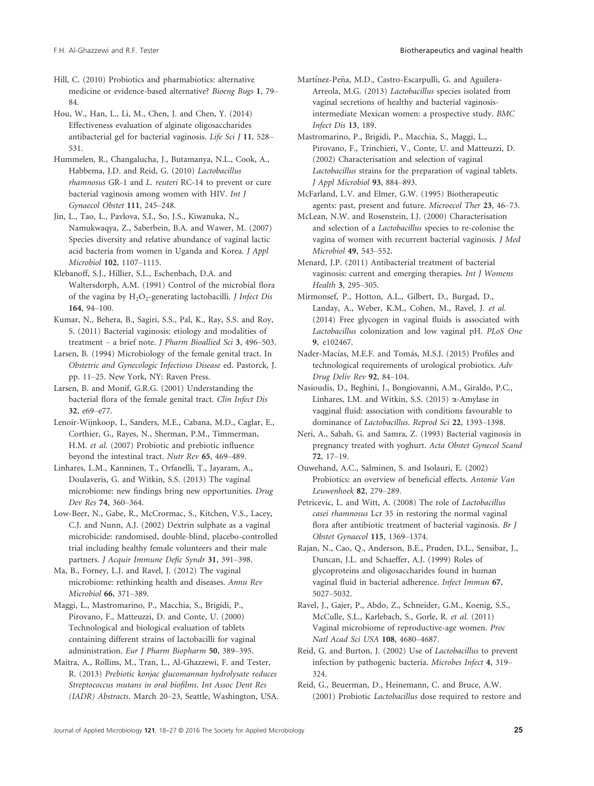Hill, C. (2010) Probiotics and pharmabiotics: alternative medicine or evidence-based alternative? Bioeng Bugs 1, 79– 84.

Hou, W., Han, L., Li, M., Chen, J. and Chen, Y. (2014) Effectiveness evaluation of alginate oligosaccharides antibacterial gel for bacterial vaginosis. Life Sci J 11, 528– 531.

Hummelen, R., Changalucha, J., Butamanya, N.L., Cook, A., Habbema, J.D. and Reid, G. (2010) Lactobacillus rhamnosus GR-1 and L. reuteri RC-14 to prevent or cure bacterial vaginosis among women with HIV. Int J Gynaecol Obstet 111, 245–248.

Jin, L., Tao, L., Pavlova, S.I., So, J.S., Kiwanuka, N., Namukwaqya, Z., Saberbein, B.A. and Wawer, M. (2007) Species diversity and relative abundance of vaginal lactic acid bacteria from women in Uganda and Korea. J Appl Microbiol 102, 1107–1115.

Klebanoff, S.J., Hillier, S.L., Eschenbach, D.A. and Waltersdorph, A.M. (1991) Control of the microbial flora of the vagina by  $H_2O_2$ -generating lactobacilli. *J Infect Dis* 164, 94–100.

Kumar, N., Behera, B., Sagiri, S.S., Pal, K., Ray, S.S. and Roy, S. (2011) Bacterial vaginosis: etiology and modalities of treatment – a brief note. J Pharm Bioallied Sci 3, 496–503.

Larsen, B. (1994) Microbiology of the female genital tract. In Obstetric and Gynecologic Infectious Disease ed. Pastorck, J. pp. 11–25. New York, NY: Raven Press.

Larsen, B. and Monif, G.R.G. (2001) Understanding the bacterial flora of the female genital tract. Clin Infect Dis 32, e69–e77.

Lenoir-Wijnkoop, I., Sanders, M.E., Cabana, M.D., Caglar, E., Corthier, G., Rayes, N., Sherman, P.M., Timmerman, H.M. et al. (2007) Probiotic and prebiotic influence beyond the intestinal tract. Nutr Rev 65, 469–489.

Linhares, L.M., Kanninen, T., Orfanelli, T., Jayaram, A., Doulaveris, G. and Witkin, S.S. (2013) The vaginal microbiome: new findings bring new opportunities. Drug Dev Res 74, 360–364.

Low-Beer, N., Gabe, R., McCrormac, S., Kitchen, V.S., Lacey, C.J. and Nunn, A.J. (2002) Dextrin sulphate as a vaginal microbicide: randomised, double-blind, placebo-controlled trial including healthy female volunteers and their male partners. J Acquir Immune Defic Syndr 31, 391–398.

Ma, B., Forney, L.J. and Ravel, J. (2012) The vaginal microbiome: rethinking health and diseases. Annu Rev Microbiol 66, 371–389.

Maggi, L., Mastromarino, P., Macchia, S., Brigidi, P., Pirovano, F., Matteuzzi, D. and Conte, U. (2000) Technological and biological evaluation of tablets containing different strains of lactobacilli for vaginal administration. Eur J Pharm Biopharm 50, 389–395.

Maitra, A., Rollins, M., Tran, L., Al-Ghazzewi, F. and Tester, R. (2013) Prebiotic konjac glucomannan hydrolysate reduces Streptococcus mutans in oral biofilms. Int Assoc Dent Res (IADR) Abstracts. March 20–23, Seattle, Washington, USA. Martínez-Peña, M.D., Castro-Escarpulli, G. and Aguilera-Arreola, M.G. (2013) Lactobacillus species isolated from vaginal secretions of healthy and bacterial vaginosisintermediate Mexican women: a prospective study. BMC Infect Dis 13, 189.

Mastromarino, P., Brigidi, P., Macchia, S., Maggi, L., Pirovano, F., Trinchieri, V., Conte, U. and Matteuzzi, D. (2002) Characterisation and selection of vaginal Lactobacillus strains for the preparation of vaginal tablets. J Appl Microbiol 93, 884–893.

McFarland, L.V. and Elmer, G.W. (1995) Biotherapeutic agents: past, present and future. Microecol Ther 23, 46–73.

McLean, N.W. and Rosenstein, I.J. (2000) Characterisation and selection of a Lactobacillus species to re-colonise the vagina of women with recurrent bacterial vaginosis. J Med Microbiol 49, 543–552.

Menard, J.P. (2011) Antibacterial treatment of bacterial vaginosis: current and emerging therapies. Int J Womens Health 3, 295–305.

Mirmonsef, P., Hotton, A.L., Gilbert, D., Burgad, D., Landay, A., Weber, K.M., Cohen, M., Ravel, J. et al. (2014) Free glycogen in vaginal fluids is associated with Lactobacillus colonization and low vaginal pH. PLoS One 9, e102467.

Nader-Macías, M.E.F. and Tomás, M.S.J. (2015) Profiles and technological requirements of urological probiotics. Adv Drug Deliv Rev 92, 84–104.

Nasioudis, D., Beghini, J., Bongiovanni, A.M., Giraldo, P.C., Linhares, I.M. and Witkin, S.S. (2015) a-Amylase in vaqginal fluid: association with conditions favourable to dominance of Lactobacillus. Reprod Sci 22, 1393–1398.

Neri, A., Sabah, G. and Samra, Z. (1993) Bacterial vaginosis in pregnancy treated with yoghurt. Acta Obstet Gynecol Scand 72, 17–19.

Ouwehand, A.C., Salminen, S. and Isolauri, E. (2002) Probiotics: an overview of beneficial effects. Antonie Van Leuwenhoek 82, 279–289.

Petricevic, L. and Witt, A. (2008) The role of Lactobacillus casei rhamnosus Lcr 35 in restoring the normal vaginal flora after antibiotic treatment of bacterial vaginosis. Br J Obstet Gynaecol 115, 1369–1374.

Rajan, N., Cao, Q., Anderson, B.E., Pruden, D.L., Sensibar, J., Duncan, J.L. and Schaeffer, A.J. (1999) Roles of glycoproteins and oligosaccharides found in human vaginal fluid in bacterial adherence. Infect Immun 67, 5027–5032.

Ravel, J., Gajer, P., Abdo, Z., Schneider, G.M., Koenig, S.S., McCulle, S.L., Karlebach, S., Gorle, R. et al. (2011) Vaginal microbiome of reproductive-age women. Proc Natl Acad Sci USA 108, 4680–4687.

Reid, G. and Burton, J. (2002) Use of Lactobacillus to prevent infection by pathogenic bacteria. Microbes Infect 4, 319– 324.

Reid, G., Beuerman, D., Heinemann, C. and Bruce, A.W. (2001) Probiotic Lactobacillus dose required to restore and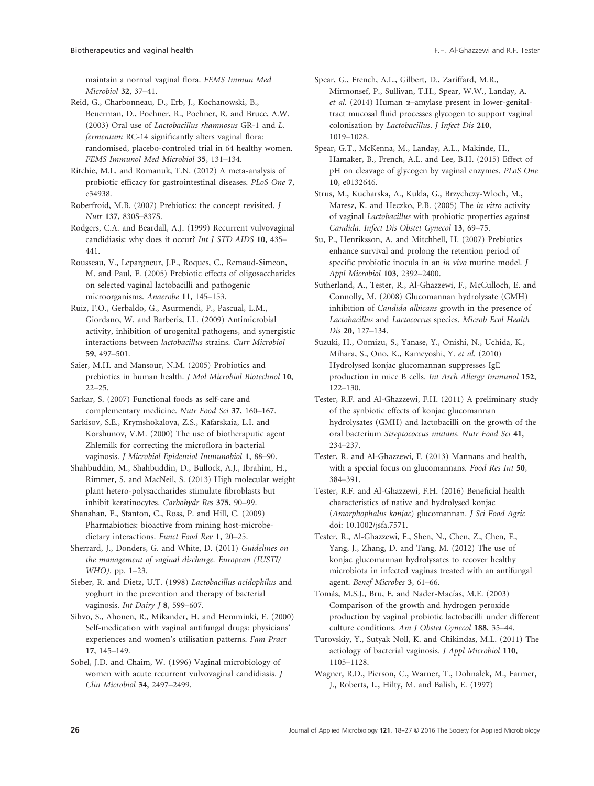maintain a normal vaginal flora. FEMS Immun Med Microbiol 32, 37–41.

Reid, G., Charbonneau, D., Erb, J., Kochanowski, B., Beuerman, D., Poehner, R., Poehner, R. and Bruce, A.W. (2003) Oral use of Lactobacillus rhamnosus GR-1 and L. fermentum RC-14 significantly alters vaginal flora: randomised, placebo-controled trial in 64 healthy women. FEMS Immunol Med Microbiol 35, 131–134.

Ritchie, M.L. and Romanuk, T.N. (2012) A meta-analysis of probiotic efficacy for gastrointestinal diseases. PLoS One 7, e34938.

Roberfroid, M.B. (2007) Prebiotics: the concept revisited. J Nutr 137, 830S–837S.

Rodgers, C.A. and Beardall, A.J. (1999) Recurrent vulvovaginal candidiasis: why does it occur? Int J STD AIDS 10, 435– 441.

Rousseau, V., Lepargneur, J.P., Roques, C., Remaud-Simeon, M. and Paul, F. (2005) Prebiotic effects of oligosaccharides on selected vaginal lactobacilli and pathogenic microorganisms. Anaerobe 11, 145–153.

Ruiz, F.O., Gerbaldo, G., Asurmendi, P., Pascual, L.M., Giordano, W. and Barberis, I.L. (2009) Antimicrobial activity, inhibition of urogenital pathogens, and synergistic interactions between lactobacillus strains. Curr Microbiol 59, 497–501.

Saier, M.H. and Mansour, N.M. (2005) Probiotics and prebiotics in human health. J Mol Microbiol Biotechnol 10, 22–25.

Sarkar, S. (2007) Functional foods as self-care and complementary medicine. Nutr Food Sci 37, 160–167.

Sarkisov, S.E., Krymshokalova, Z.S., Kafarskaia, L.I. and Korshunov, V.M. (2000) The use of biotheraputic agent Zhlemilk for correcting the microflora in bacterial vaginosis. J Microbiol Epidemiol Immunobiol 1, 88–90.

Shahbuddin, M., Shahbuddin, D., Bullock, A.J., Ibrahim, H., Rimmer, S. and MacNeil, S. (2013) High molecular weight plant hetero-polysaccharides stimulate fibroblasts but inhibit keratinocytes. Carbohydr Res 375, 90–99.

Shanahan, F., Stanton, C., Ross, P. and Hill, C. (2009) Pharmabiotics: bioactive from mining host-microbedietary interactions. Funct Food Rev 1, 20–25.

Sherrard, J., Donders, G. and White, D. (2011) Guidelines on the management of vaginal discharge. European (IUSTI/ WHO). pp. 1–23.

Sieber, R. and Dietz, U.T. (1998) Lactobacillus acidophilus and yoghurt in the prevention and therapy of bacterial vaginosis. Int Dairy J 8, 599-607.

Sihvo, S., Ahonen, R., Mikander, H. and Hemminki, E. (2000) Self-medication with vaginal antifungal drugs: physicians' experiences and women's utilisation patterns. Fam Pract 17, 145–149.

Sobel, J.D. and Chaim, W. (1996) Vaginal microbiology of women with acute recurrent vulvovaginal candidiasis. J Clin Microbiol 34, 2497–2499.

Spear, G., French, A.L., Gilbert, D., Zariffard, M.R., Mirmonsef, P., Sullivan, T.H., Spear, W.W., Landay, A. et al. (2014) Human  $\alpha$ –amylase present in lower-genitaltract mucosal fluid processes glycogen to support vaginal colonisation by Lactobacillus. J Infect Dis 210, 1019–1028.

Spear, G.T., McKenna, M., Landay, A.L., Makinde, H., Hamaker, B., French, A.L. and Lee, B.H. (2015) Effect of pH on cleavage of glycogen by vaginal enzymes. PLoS One 10, e0132646.

Strus, M., Kucharska, A., Kukla, G., Brzychczy-Wloch, M., Maresz, K. and Heczko, P.B. (2005) The in vitro activity of vaginal Lactobacillus with probiotic properties against Candida. Infect Dis Obstet Gynecol 13, 69–75.

Su, P., Henriksson, A. and Mitchhell, H. (2007) Prebiotics enhance survival and prolong the retention period of specific probiotic inocula in an in vivo murine model. J Appl Microbiol 103, 2392–2400.

Sutherland, A., Tester, R., Al-Ghazzewi, F., McCulloch, E. and Connolly, M. (2008) Glucomannan hydrolysate (GMH) inhibition of Candida albicans growth in the presence of Lactobacillus and Lactococcus species. Microb Ecol Health Dis 20, 127–134.

Suzuki, H., Oomizu, S., Yanase, Y., Onishi, N., Uchida, K., Mihara, S., Ono, K., Kameyoshi, Y. et al. (2010) Hydrolysed konjac glucomannan suppresses IgE production in mice B cells. Int Arch Allergy Immunol 152, 122–130.

Tester, R.F. and Al-Ghazzewi, F.H. (2011) A preliminary study of the synbiotic effects of konjac glucomannan hydrolysates (GMH) and lactobacilli on the growth of the oral bacterium Streptococcus mutans. Nutr Food Sci 41, 234–237.

Tester, R. and Al-Ghazzewi, F. (2013) Mannans and health, with a special focus on glucomannans. Food Res Int 50, 384–391.

Tester, R.F. and Al-Ghazzewi, F.H. (2016) Beneficial health characteristics of native and hydrolysed konjac (Amorphophalus konjac) glucomannan. J Sci Food Agric doi: 10.1002/jsfa.7571.

Tester, R., Al-Ghazzewi, F., Shen, N., Chen, Z., Chen, F., Yang, J., Zhang, D. and Tang, M. (2012) The use of konjac glucomannan hydrolysates to recover healthy microbiota in infected vaginas treated with an antifungal agent. Benef Microbes 3, 61–66.

Tomás, M.S.J., Bru, E. and Nader-Macías, M.E. (2003) Comparison of the growth and hydrogen peroxide production by vaginal probiotic lactobacilli under different culture conditions. Am J Obstet Gynecol 188, 35–44.

- Turovskiy, Y., Sutyak Noll, K. and Chikindas, M.L. (2011) The aetiology of bacterial vaginosis. J Appl Microbiol 110, 1105–1128.
- Wagner, R.D., Pierson, C., Warner, T., Dohnalek, M., Farmer, J., Roberts, L., Hilty, M. and Balish, E. (1997)